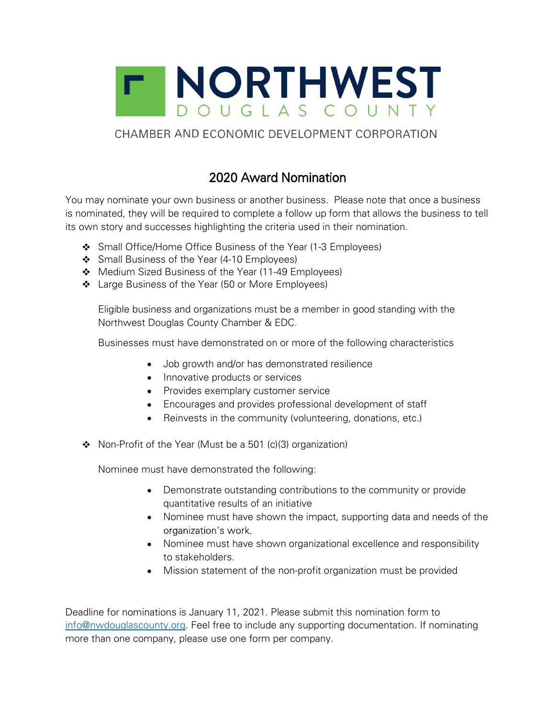

## CHAMBER AND ECONOMIC DEVELOPMENT CORPORATION

## 2020 Award Nomination

You may nominate your own business or another business. Please note that once a business is nominated, they will be required to complete a follow up form that allows the business to tell its own story and successes highlighting the criteria used in their nomination.

- Small Office/Home Office Business of the Year (1-3 Employees)
- Small Business of the Year (4-10 Employees)
- Medium Sized Business of the Year (11-49 Employees)
- Large Business of the Year (50 or More Employees)

Eligible business and organizations must be a member in good standing with the Northwest Douglas County Chamber & EDC.

Businesses must have demonstrated on or more of the following characteristics

- Job growth and/or has demonstrated resilience
- Innovative products or services
- Provides exemplary customer service
- Encourages and provides professional development of staff
- Reinvests in the community (volunteering, donations, etc.)  $\bullet$
- $\div$  Non-Profit of the Year (Must be a 501 (c)(3) organization)

Nominee must have demonstrated the following:

- Demonstrate outstanding contributions to the community or provide quantitative results of an initiative
- Nominee must have shown the impact, supporting data and needs of the organization's work
- Nominee must have shown organizational excellence and responsibility to stakeholders.
- Mission statement of the non-profit organization must be provided

Deadline for nominations is January 11, 2021. Please submit this nomination form to info@nwdouglascounty.org. Feel free to include any supporting documentation. If nominating more than one company, please use one form per company.